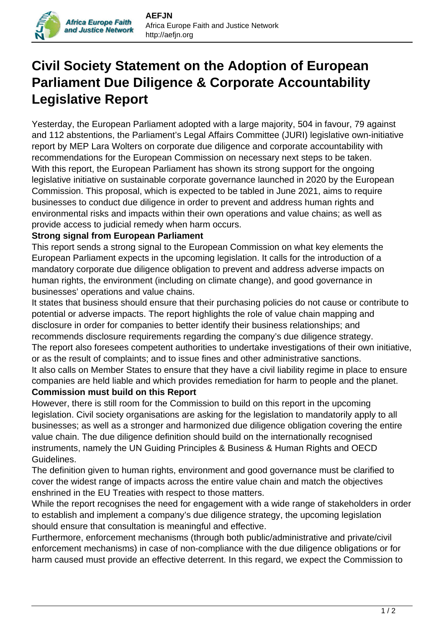## **Civil Society Statement on the Adoption of European Parliament Due Diligence & Corporate Accountability Legislative Report**

Yesterday, the European Parliament adopted with a large majority, 504 in favour, 79 against and 112 abstentions, the Parliament's Legal Affairs Committee (JURI) legislative own-initiative report by MEP Lara Wolters on corporate due diligence and corporate accountability with recommendations for the European Commission on necessary next steps to be taken. With this report, the European Parliament has shown its strong support for the ongoing legislative initiative on sustainable corporate governance launched in 2020 by the European Commission. This proposal, which is expected to be tabled in June 2021, aims to require businesses to conduct due diligence in order to prevent and address human rights and environmental risks and impacts within their own operations and value chains; as well as provide access to judicial remedy when harm occurs.

## **Strong signal from European Parliament**

**Africa Europe Faith** and Justice Network

This report sends a strong signal to the European Commission on what key elements the European Parliament expects in the upcoming legislation. It calls for the introduction of a mandatory corporate due diligence obligation to prevent and address adverse impacts on human rights, the environment (including on climate change), and good governance in businesses' operations and value chains.

It states that business should ensure that their purchasing policies do not cause or contribute to potential or adverse impacts. The report highlights the role of value chain mapping and disclosure in order for companies to better identify their business relationships; and recommends disclosure requirements regarding the company's due diligence strategy. The report also foresees competent authorities to undertake investigations of their own initiative, or as the result of complaints; and to issue fines and other administrative sanctions. It also calls on Member States to ensure that they have a civil liability regime in place to ensure companies are held liable and which provides remediation for harm to people and the planet.

## **Commission must build on this Report**

However, there is still room for the Commission to build on this report in the upcoming legislation. Civil society organisations are asking for the legislation to mandatorily apply to all businesses; as well as a stronger and harmonized due diligence obligation covering the entire value chain. The due diligence definition should build on the internationally recognised instruments, namely the UN Guiding Principles & Business & Human Rights and OECD Guidelines.

The definition given to human rights, environment and good governance must be clarified to cover the widest range of impacts across the entire value chain and match the objectives enshrined in the EU Treaties with respect to those matters.

While the report recognises the need for engagement with a wide range of stakeholders in order to establish and implement a company's due diligence strategy, the upcoming legislation should ensure that consultation is meaningful and effective.

Furthermore, enforcement mechanisms (through both public/administrative and private/civil enforcement mechanisms) in case of non-compliance with the due diligence obligations or for harm caused must provide an effective deterrent. In this regard, we expect the Commission to